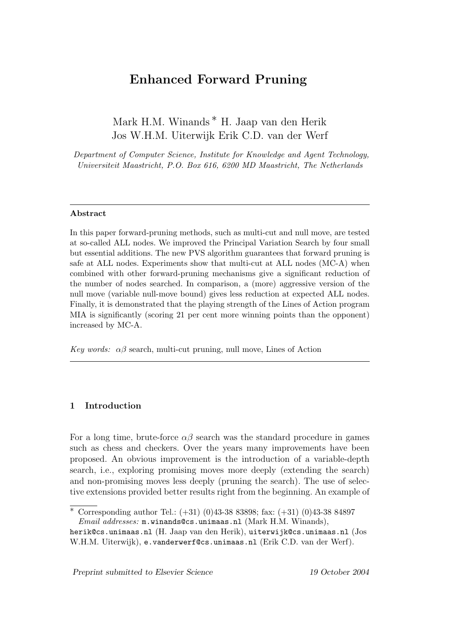# Enhanced Forward Pruning

Mark H.M. Winands ∗ H. Jaap van den Herik Jos W.H.M. Uiterwijk Erik C.D. van der Werf

Department of Computer Science, Institute for Knowledge and Agent Technology, Universiteit Maastricht, P.O. Box 616, 6200 MD Maastricht, The Netherlands

### Abstract

In this paper forward-pruning methods, such as multi-cut and null move, are tested at so-called ALL nodes. We improved the Principal Variation Search by four small but essential additions. The new PVS algorithm guarantees that forward pruning is safe at ALL nodes. Experiments show that multi-cut at ALL nodes (MC-A) when combined with other forward-pruning mechanisms give a significant reduction of the number of nodes searched. In comparison, a (more) aggressive version of the null move (variable null-move bound) gives less reduction at expected ALL nodes. Finally, it is demonstrated that the playing strength of the Lines of Action program MIA is significantly (scoring 21 per cent more winning points than the opponent) increased by MC-A.

Key words:  $\alpha\beta$  search, multi-cut pruning, null move, Lines of Action

### 1 Introduction

For a long time, brute-force  $\alpha\beta$  search was the standard procedure in games such as chess and checkers. Over the years many improvements have been proposed. An obvious improvement is the introduction of a variable-depth search, i.e., exploring promising moves more deeply (extending the search) and non-promising moves less deeply (pruning the search). The use of selective extensions provided better results right from the beginning. An example of

Preprint submitted to Elsevier Science 19 October 2004

<sup>∗</sup> Corresponding author Tel.: (+31) (0)43-38 83898; fax: (+31) (0)43-38 84897 Email addresses: m.winands@cs.unimaas.nl (Mark H.M. Winands),

herik@cs.unimaas.nl (H. Jaap van den Herik), uiterwijk@cs.unimaas.nl (Jos W.H.M. Uiterwijk), e.vanderwerf@cs.unimaas.nl (Erik C.D. van der Werf).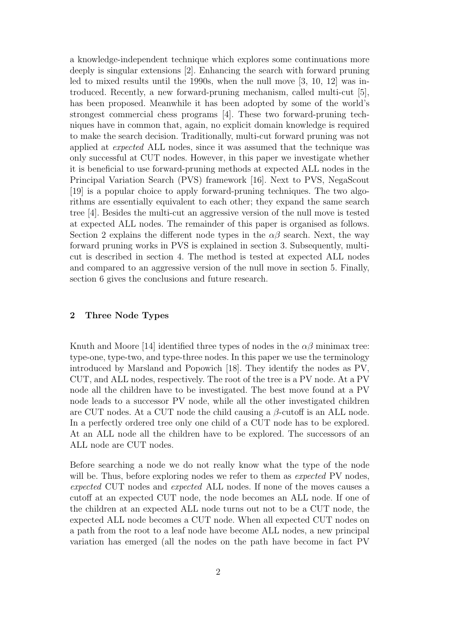a knowledge-independent technique which explores some continuations more deeply is singular extensions [2]. Enhancing the search with forward pruning led to mixed results until the 1990s, when the null move [3, 10, 12] was introduced. Recently, a new forward-pruning mechanism, called multi-cut [5], has been proposed. Meanwhile it has been adopted by some of the world's strongest commercial chess programs [4]. These two forward-pruning techniques have in common that, again, no explicit domain knowledge is required to make the search decision. Traditionally, multi-cut forward pruning was not applied at expected ALL nodes, since it was assumed that the technique was only successful at CUT nodes. However, in this paper we investigate whether it is beneficial to use forward-pruning methods at expected ALL nodes in the Principal Variation Search (PVS) framework [16]. Next to PVS, NegaScout [19] is a popular choice to apply forward-pruning techniques. The two algorithms are essentially equivalent to each other; they expand the same search tree [4]. Besides the multi-cut an aggressive version of the null move is tested at expected ALL nodes. The remainder of this paper is organised as follows. Section 2 explains the different node types in the  $\alpha\beta$  search. Next, the way forward pruning works in PVS is explained in section 3. Subsequently, multicut is described in section 4. The method is tested at expected ALL nodes and compared to an aggressive version of the null move in section 5. Finally, section 6 gives the conclusions and future research.

### 2 Three Node Types

Knuth and Moore [14] identified three types of nodes in the  $\alpha\beta$  minimax tree: type-one, type-two, and type-three nodes. In this paper we use the terminology introduced by Marsland and Popowich [18]. They identify the nodes as PV, CUT, and ALL nodes, respectively. The root of the tree is a PV node. At a PV node all the children have to be investigated. The best move found at a PV node leads to a successor PV node, while all the other investigated children are CUT nodes. At a CUT node the child causing a  $\beta$ -cutoff is an ALL node. In a perfectly ordered tree only one child of a CUT node has to be explored. At an ALL node all the children have to be explored. The successors of an ALL node are CUT nodes.

Before searching a node we do not really know what the type of the node will be. Thus, before exploring nodes we refer to them as *expected* PV nodes, expected CUT nodes and expected ALL nodes. If none of the moves causes a cutoff at an expected CUT node, the node becomes an ALL node. If one of the children at an expected ALL node turns out not to be a CUT node, the expected ALL node becomes a CUT node. When all expected CUT nodes on a path from the root to a leaf node have become ALL nodes, a new principal variation has emerged (all the nodes on the path have become in fact PV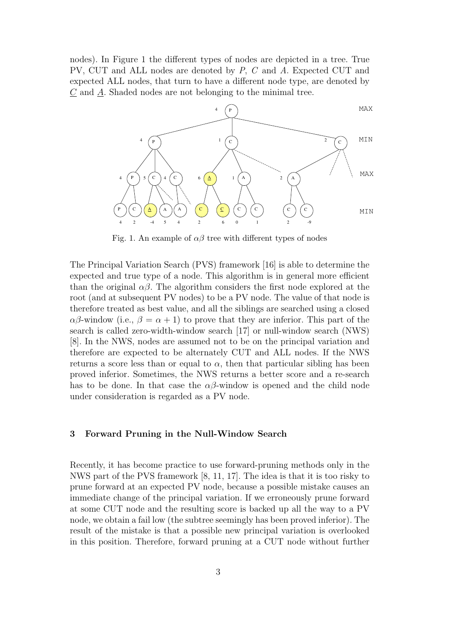nodes). In Figure 1 the different types of nodes are depicted in a tree. True PV, CUT and ALL nodes are denoted by P, C and A. Expected CUT and expected ALL nodes, that turn to have a different node type, are denoted by  $C$  and  $\underline{A}$ . Shaded nodes are not belonging to the minimal tree.



Fig. 1. An example of  $\alpha\beta$  tree with different types of nodes

The Principal Variation Search (PVS) framework [16] is able to determine the expected and true type of a node. This algorithm is in general more efficient than the original  $\alpha\beta$ . The algorithm considers the first node explored at the root (and at subsequent PV nodes) to be a PV node. The value of that node is therefore treated as best value, and all the siblings are searched using a closed  $\alpha\beta$ -window (i.e.,  $\beta = \alpha + 1$ ) to prove that they are inferior. This part of the search is called zero-width-window search [17] or null-window search (NWS) [8]. In the NWS, nodes are assumed not to be on the principal variation and therefore are expected to be alternately CUT and ALL nodes. If the NWS returns a score less than or equal to  $\alpha$ , then that particular sibling has been proved inferior. Sometimes, the NWS returns a better score and a re-search has to be done. In that case the  $\alpha\beta$ -window is opened and the child node under consideration is regarded as a PV node.

#### 3 Forward Pruning in the Null-Window Search

Recently, it has become practice to use forward-pruning methods only in the NWS part of the PVS framework [8, 11, 17]. The idea is that it is too risky to prune forward at an expected PV node, because a possible mistake causes an immediate change of the principal variation. If we erroneously prune forward at some CUT node and the resulting score is backed up all the way to a PV node, we obtain a fail low (the subtree seemingly has been proved inferior). The result of the mistake is that a possible new principal variation is overlooked in this position. Therefore, forward pruning at a CUT node without further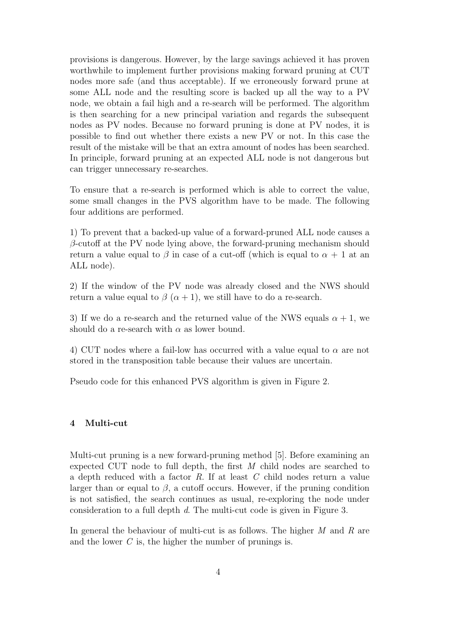provisions is dangerous. However, by the large savings achieved it has proven worthwhile to implement further provisions making forward pruning at CUT nodes more safe (and thus acceptable). If we erroneously forward prune at some ALL node and the resulting score is backed up all the way to a PV node, we obtain a fail high and a re-search will be performed. The algorithm is then searching for a new principal variation and regards the subsequent nodes as PV nodes. Because no forward pruning is done at PV nodes, it is possible to find out whether there exists a new PV or not. In this case the result of the mistake will be that an extra amount of nodes has been searched. In principle, forward pruning at an expected ALL node is not dangerous but can trigger unnecessary re-searches.

To ensure that a re-search is performed which is able to correct the value, some small changes in the PVS algorithm have to be made. The following four additions are performed.

1) To prevent that a backed-up value of a forward-pruned ALL node causes a  $\beta$ -cutoff at the PV node lying above, the forward-pruning mechanism should return a value equal to  $\beta$  in case of a cut-off (which is equal to  $\alpha + 1$  at an ALL node).

2) If the window of the PV node was already closed and the NWS should return a value equal to  $\beta$  ( $\alpha + 1$ ), we still have to do a re-search.

3) If we do a re-search and the returned value of the NWS equals  $\alpha + 1$ , we should do a re-search with  $\alpha$  as lower bound.

4) CUT nodes where a fail-low has occurred with a value equal to  $\alpha$  are not stored in the transposition table because their values are uncertain.

Pseudo code for this enhanced PVS algorithm is given in Figure 2.

### 4 Multi-cut

Multi-cut pruning is a new forward-pruning method [5]. Before examining an expected CUT node to full depth, the first M child nodes are searched to a depth reduced with a factor R. If at least C child nodes return a value larger than or equal to  $\beta$ , a cutoff occurs. However, if the pruning condition is not satisfied, the search continues as usual, re-exploring the node under consideration to a full depth d. The multi-cut code is given in Figure 3.

In general the behaviour of multi-cut is as follows. The higher  $M$  and  $R$  are and the lower  $C$  is, the higher the number of prunings is.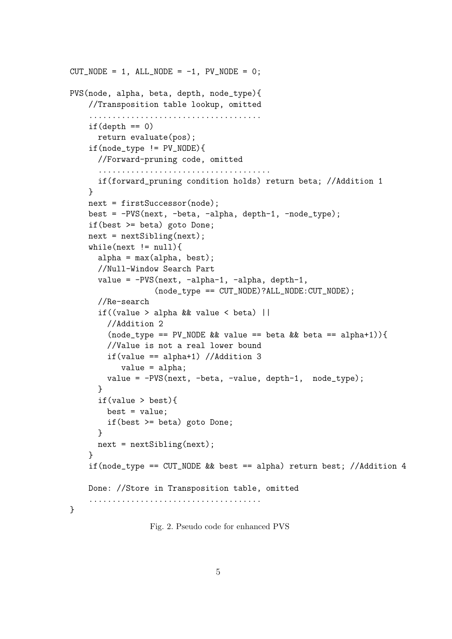```
CUT_NODE = 1, ALL_NODE = -1, PV_NODE = 0;
PVS(node, alpha, beta, depth, node_type){
   //Transposition table lookup, omitted
    .....................................
    if(depth == 0)return evaluate(pos);
    if(node_type != PV_NODE){
      //Forward-pruning code, omitted
      .....................................
      if(forward_pruning condition holds) return beta; //Addition 1
   }
   next = firstSuccessor(node);
   best = -PVS(next, -beta, -alpha, depth-1, -node_type);
   if(best >= beta) goto Done;
   next = nextSibling(next);
   while(newt != null){
      alpha = max(alpha, best);//Null-Window Search Part
      value = -PVS(next, -alpha-1, -alpha, depth-1,
                  (node_type == CUT_NODE)?ALL_NODE:CUT_NODE);
      //Re-search
      if((value > alpha && value < beta) ||
        //Addition 2
        (node_type == PV_NODE && value == beta && beta == alpha+1)){
        //Value is not a real lower bound
        if(value == alpha+1) //Addition 3
           value = alpha;
        value = -PVS(next, -beta, -value, depth-1, node_type);
      }
      if(value > best){
        best = value;
        if(best >= beta) goto Done;
     }
     next = nextSibling(next);
    }
    if(node_type == CUT_NODE && best == alpha) return best; //Addition 4
   Done: //Store in Transposition table, omitted
    .....................................
}
```
Fig. 2. Pseudo code for enhanced PVS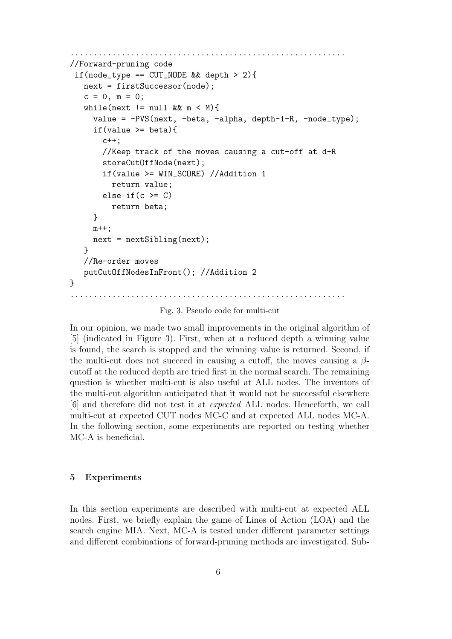```
...........................................................
//Forward-pruning code
 if(node_type == CUT_NODE && depth > 2){
   next = firstSuccessor(node);
   c = 0, m = 0;while(next != null \&amp; x \text{ m} < M){
      value = -PVS(next, -beta, -alpha, depth-1-R, -node_type);
      if(value >= beta){
        c++;
        //Keep track of the moves causing a cut-off at d-R
        storeCutOffNode(next);
        if(value >= WIN_SCORE) //Addition 1
          return value;
        else if(c \geq C)return beta;
      }
     m++;next = nextSibling(next);
   }
   //Re-order moves
   putCutOffNodesInFront(); //Addition 2
}
                                         ...........................................................
```
Fig. 3. Pseudo code for multi-cut

In our opinion, we made two small improvements in the original algorithm of [5] (indicated in Figure 3). First, when at a reduced depth a winning value is found, the search is stopped and the winning value is returned. Second, if the multi-cut does not succeed in causing a cutoff, the moves causing a  $\beta$ cutoff at the reduced depth are tried first in the normal search. The remaining question is whether multi-cut is also useful at ALL nodes. The inventors of the multi-cut algorithm anticipated that it would not be successful elsewhere [6] and therefore did not test it at expected ALL nodes. Henceforth, we call multi-cut at expected CUT nodes MC-C and at expected ALL nodes MC-A. In the following section, some experiments are reported on testing whether MC-A is beneficial.

### 5 Experiments

In this section experiments are described with multi-cut at expected ALL nodes. First, we briefly explain the game of Lines of Action (LOA) and the search engine MIA. Next, MC-A is tested under different parameter settings and different combinations of forward-pruning methods are investigated. Sub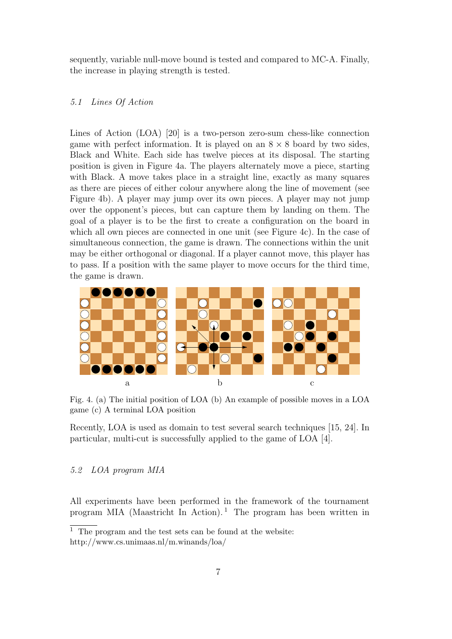sequently, variable null-move bound is tested and compared to MC-A. Finally, the increase in playing strength is tested.

#### 5.1 Lines Of Action

Lines of Action (LOA) [20] is a two-person zero-sum chess-like connection game with perfect information. It is played on an  $8 \times 8$  board by two sides, Black and White. Each side has twelve pieces at its disposal. The starting position is given in Figure 4a. The players alternately move a piece, starting with Black. A move takes place in a straight line, exactly as many squares as there are pieces of either colour anywhere along the line of movement (see Figure 4b). A player may jump over its own pieces. A player may not jump over the opponent's pieces, but can capture them by landing on them. The goal of a player is to be the first to create a configuration on the board in which all own pieces are connected in one unit (see Figure 4c). In the case of simultaneous connection, the game is drawn. The connections within the unit may be either orthogonal or diagonal. If a player cannot move, this player has to pass. If a position with the same player to move occurs for the third time, the game is drawn.



Fig. 4. (a) The initial position of LOA (b) An example of possible moves in a LOA game (c) A terminal LOA position

Recently, LOA is used as domain to test several search techniques [15, 24]. In particular, multi-cut is successfully applied to the game of LOA [4].

### 5.2 LOA program MIA

All experiments have been performed in the framework of the tournament program MIA (Maastricht In Action).<sup>1</sup> The program has been written in

<sup>&</sup>lt;sup>1</sup> The program and the test sets can be found at the website: http://www.cs.unimaas.nl/m.winands/loa/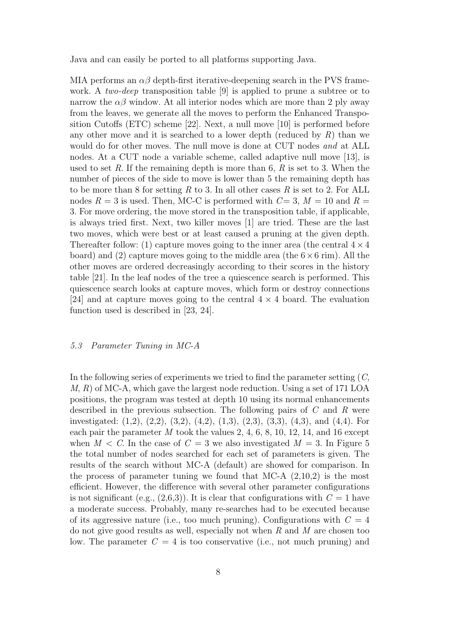Java and can easily be ported to all platforms supporting Java.

MIA performs an  $\alpha\beta$  depth-first iterative-deepening search in the PVS framework. A *two-deep* transposition table [9] is applied to prune a subtree or to narrow the  $\alpha\beta$  window. At all interior nodes which are more than 2 ply away from the leaves, we generate all the moves to perform the Enhanced Transposition Cutoffs (ETC) scheme [22]. Next, a null move [10] is performed before any other move and it is searched to a lower depth (reduced by  $R$ ) than we would do for other moves. The null move is done at CUT nodes and at ALL nodes. At a CUT node a variable scheme, called adaptive null move [13], is used to set R. If the remaining depth is more than 6, R is set to 3. When the number of pieces of the side to move is lower than 5 the remaining depth has to be more than 8 for setting R to 3. In all other cases R is set to 2. For ALL nodes  $R = 3$  is used. Then, MC-C is performed with  $C = 3$ ,  $M = 10$  and  $R =$ 3. For move ordering, the move stored in the transposition table, if applicable, is always tried first. Next, two killer moves [1] are tried. These are the last two moves, which were best or at least caused a pruning at the given depth. Thereafter follow: (1) capture moves going to the inner area (the central  $4 \times 4$ board) and (2) capture moves going to the middle area (the  $6\times 6$  rim). All the other moves are ordered decreasingly according to their scores in the history table [21]. In the leaf nodes of the tree a quiescence search is performed. This quiescence search looks at capture moves, which form or destroy connections [24] and at capture moves going to the central  $4 \times 4$  board. The evaluation function used is described in [23, 24].

### 5.3 Parameter Tuning in MC-A

In the following series of experiments we tried to find the parameter setting  $(C, \mathcal{C})$ M, R) of MC-A, which gave the largest node reduction. Using a set of 171 LOA positions, the program was tested at depth 10 using its normal enhancements described in the previous subsection. The following pairs of C and R were investigated: (1,2), (2,2), (3,2), (4,2), (1,3), (2,3), (3,3), (4,3), and (4,4). For each pair the parameter  $M$  took the values 2, 4, 6, 8, 10, 12, 14, and 16 except when  $M < C$ . In the case of  $C = 3$  we also investigated  $M = 3$ . In Figure 5 the total number of nodes searched for each set of parameters is given. The results of the search without MC-A (default) are showed for comparison. In the process of parameter tuning we found that MC-A  $(2,10,2)$  is the most efficient. However, the difference with several other parameter configurations is not significant (e.g.,  $(2,6,3)$ ). It is clear that configurations with  $C = 1$  have a moderate success. Probably, many re-searches had to be executed because of its aggressive nature (i.e., too much pruning). Configurations with  $C = 4$ do not give good results as well, especially not when  $R$  and  $M$  are chosen too low. The parameter  $C = 4$  is too conservative (i.e., not much pruning) and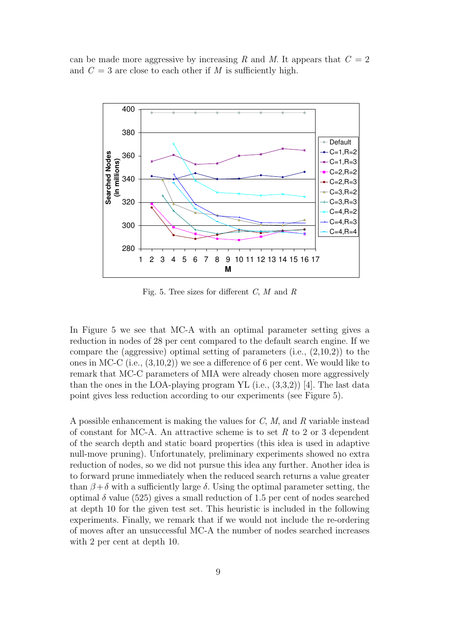can be made more aggressive by increasing R and M. It appears that  $C = 2$ and  $C = 3$  are close to each other if M is sufficiently high.



Fig. 5. Tree sizes for different  $C, M$  and  $R$ 

In Figure 5 we see that MC-A with an optimal parameter setting gives a reduction in nodes of 28 per cent compared to the default search engine. If we compare the (aggressive) optimal setting of parameters  $(i.e., (2,10,2))$  to the ones in MC-C (i.e., (3,10,2)) we see a difference of 6 per cent. We would like to remark that MC-C parameters of MIA were already chosen more aggressively than the ones in the LOA-playing program YL  $(i.e., (3,3,2))$  [4]. The last data point gives less reduction according to our experiments (see Figure 5).

A possible enhancement is making the values for C, M, and R variable instead of constant for MC-A. An attractive scheme is to set  $R$  to 2 or 3 dependent of the search depth and static board properties (this idea is used in adaptive null-move pruning). Unfortunately, preliminary experiments showed no extra reduction of nodes, so we did not pursue this idea any further. Another idea is to forward prune immediately when the reduced search returns a value greater than  $\beta + \delta$  with a sufficiently large  $\delta$ . Using the optimal parameter setting, the optimal  $\delta$  value (525) gives a small reduction of 1.5 per cent of nodes searched at depth 10 for the given test set. This heuristic is included in the following experiments. Finally, we remark that if we would not include the re-ordering of moves after an unsuccessful MC-A the number of nodes searched increases with 2 per cent at depth 10.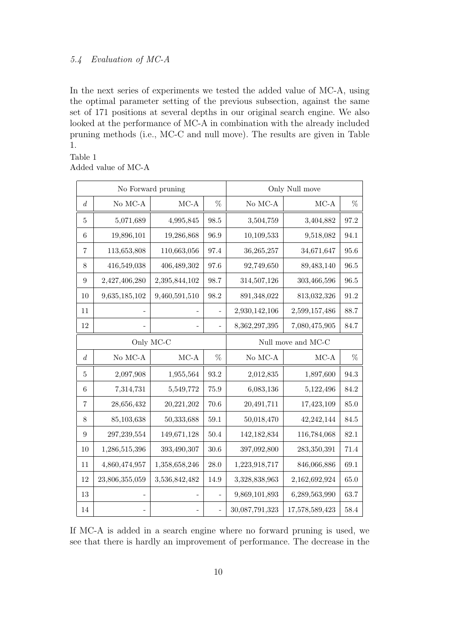### 5.4 Evaluation of MC-A

In the next series of experiments we tested the added value of MC-A, using the optimal parameter setting of the previous subsection, against the same set of 171 positions at several depths in our original search engine. We also looked at the performance of MC-A in combination with the already included pruning methods (i.e., MC-C and null move). The results are given in Table 1.

### Table 1 Added value of MC-A

|                  |                      | No Forward pruning | Only Null move |                    |                |          |
|------------------|----------------------|--------------------|----------------|--------------------|----------------|----------|
| $d_{\cdot}$      | No MC-A $\,$         | $MC-A$             | %              | No MC-A $\,$       | $MC-A$         | $\%$     |
| 5                | 5,071,689            | 4,995,845          | 98.5           | 3,504,759          | 3,404,882      | 97.2     |
| 6                | 19,896,101           | 19,286,868         | 96.9           | 10,109,533         | 9,518,082      | 94.1     |
| 7                | 113,653,808          | 110,663,056        | 97.4           | 36,265,257         | 34,671,647     | $95.6\,$ |
| 8                | 416,549,038          | 406,489,302        | 97.6           | 92,749,650         | 89,483,140     | 96.5     |
| 9                | 2,427,406,280        | 2,395,844,102      | 98.7           | 314,507,126        | 303,466,596    | 96.5     |
| 10               | 9,635,185,102        | 9,460,591,510      | 98.2           | 891,348,022        | 813,032,326    | 91.2     |
| 11               |                      |                    |                | 2,930,142,106      | 2,599,157,486  | 88.7     |
| $12\,$           |                      |                    |                | 8,362,297,395      | 7,080,475,905  | $84.7\,$ |
| Only MC-C        |                      |                    |                | Null move and MC-C |                |          |
| $\boldsymbol{d}$ | $\rm No~MC\mbox{-}A$ | $MC-A$             | $\%$           | No MC-A $\,$       | $MC-A$         | $\%$     |
| 5                | 2,097,908            | 1,955,564          | 93.2           | 2,012,835          | 1,897,600      | 94.3     |
| 6                | 7,314,731            | 5,549,772          | 75.9           | 6,083,136          | 5,122,496      | 84.2     |
| $\overline{7}$   | 28,656,432           | 20,221,202         | 70.6           | 20,491,711         | 17,423,109     | 85.0     |
| 8                | 85,103,638           | 50,333,688         | $59.1\,$       | 50,018,470         | 42,242,144     | 84.5     |
| 9                | 297,239,554          | 149,671,128        | $50.4\,$       | 142, 182, 834      | 116,784,068    | 82.1     |
| 10               | 1,286,515,396        | 393,490,307        | $30.6\,$       | 397,092,800        | 283,350,391    | 71.4     |
| 11               | 4,860,474,957        | 1,358,658,246      | 28.0           | 1,223,918,717      | 846,066,886    | 69.1     |
| 12               | 23,806,355,059       | 3,536,842,482      | 14.9           | 3,328,838,963      | 2,162,692,924  | $65.0\,$ |
| 13               |                      |                    |                | 9,869,101,893      | 6,289,563,990  | 63.7     |
| $14\,$           |                      |                    |                | 30,087,791,323     | 17,578,589,423 | 58.4     |

If MC-A is added in a search engine where no forward pruning is used, we see that there is hardly an improvement of performance. The decrease in the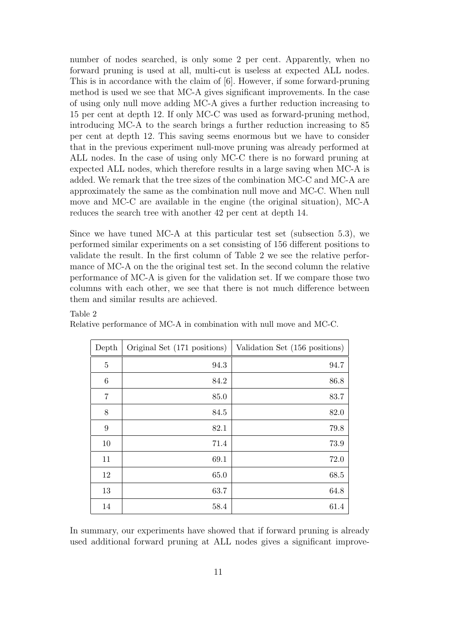number of nodes searched, is only some 2 per cent. Apparently, when no forward pruning is used at all, multi-cut is useless at expected ALL nodes. This is in accordance with the claim of [6]. However, if some forward-pruning method is used we see that MC-A gives significant improvements. In the case of using only null move adding MC-A gives a further reduction increasing to 15 per cent at depth 12. If only MC-C was used as forward-pruning method, introducing MC-A to the search brings a further reduction increasing to 85 per cent at depth 12. This saving seems enormous but we have to consider that in the previous experiment null-move pruning was already performed at ALL nodes. In the case of using only MC-C there is no forward pruning at expected ALL nodes, which therefore results in a large saving when MC-A is added. We remark that the tree sizes of the combination MC-C and MC-A are approximately the same as the combination null move and MC-C. When null move and MC-C are available in the engine (the original situation), MC-A reduces the search tree with another 42 per cent at depth 14.

Since we have tuned MC-A at this particular test set (subsection 5.3), we performed similar experiments on a set consisting of 156 different positions to validate the result. In the first column of Table 2 we see the relative performance of MC-A on the the original test set. In the second column the relative performance of MC-A is given for the validation set. If we compare those two columns with each other, we see that there is not much difference between them and similar results are achieved.

Table 2

| Depth | Original Set (171 positions) | Validation Set (156 positions) |
|-------|------------------------------|--------------------------------|
| 5     | 94.3                         | 94.7                           |
| 6     | 84.2                         | 86.8                           |
| 7     | 85.0                         | 83.7                           |
| 8     | 84.5                         | 82.0                           |
| 9     | 82.1                         | 79.8                           |
| 10    | 71.4                         | 73.9                           |
| 11    | 69.1                         | 72.0                           |
| 12    | 65.0                         | 68.5                           |
| 13    | 63.7                         | 64.8                           |
| 14    | 58.4                         | 61.4                           |

Relative performance of MC-A in combination with null move and MC-C.

In summary, our experiments have showed that if forward pruning is already used additional forward pruning at ALL nodes gives a significant improve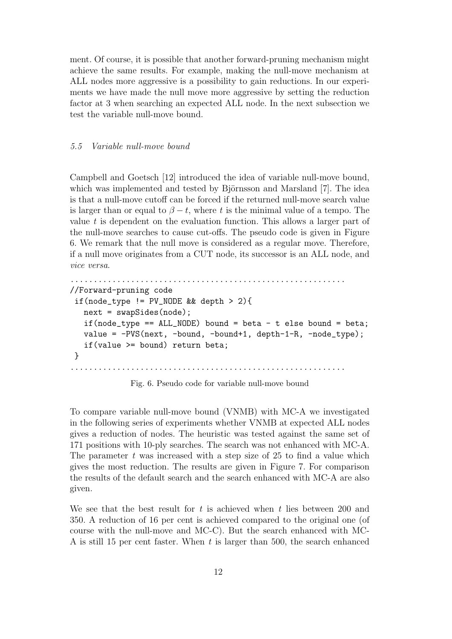ment. Of course, it is possible that another forward-pruning mechanism might achieve the same results. For example, making the null-move mechanism at ALL nodes more aggressive is a possibility to gain reductions. In our experiments we have made the null move more aggressive by setting the reduction factor at 3 when searching an expected ALL node. In the next subsection we test the variable null-move bound.

#### 5.5 Variable null-move bound

Campbell and Goetsch [12] introduced the idea of variable null-move bound, which was implemented and tested by Björnsson and Marsland  $[7]$ . The idea is that a null-move cutoff can be forced if the returned null-move search value is larger than or equal to  $\beta - t$ , where t is the minimal value of a tempo. The value  $t$  is dependent on the evaluation function. This allows a larger part of the null-move searches to cause cut-offs. The pseudo code is given in Figure 6. We remark that the null move is considered as a regular move. Therefore, if a null move originates from a CUT node, its successor is an ALL node, and vice versa.

```
...........................................................
//Forward-pruning code
if(node_type != PV_NODE && depth > 2){
  next = swapSides(node);
   if(node_type == ALL_NODE) bound = beta - t else bound = beta;
  value = -PVS(next, -bound, -bound+1, depth-1-R, -node_type);
   if(value >= bound) return beta;
}
...........................................................
```
Fig. 6. Pseudo code for variable null-move bound

To compare variable null-move bound (VNMB) with MC-A we investigated in the following series of experiments whether VNMB at expected ALL nodes gives a reduction of nodes. The heuristic was tested against the same set of 171 positions with 10-ply searches. The search was not enhanced with MC-A. The parameter  $t$  was increased with a step size of 25 to find a value which gives the most reduction. The results are given in Figure 7. For comparison the results of the default search and the search enhanced with MC-A are also given.

We see that the best result for t is achieved when t lies between 200 and 350. A reduction of 16 per cent is achieved compared to the original one (of course with the null-move and MC-C). But the search enhanced with MC-A is still 15 per cent faster. When  $t$  is larger than 500, the search enhanced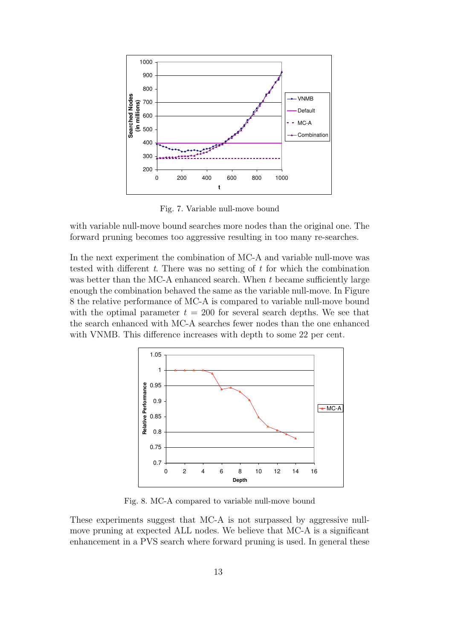

Fig. 7. Variable null-move bound

with variable null-move bound searches more nodes than the original one. The forward pruning becomes too aggressive resulting in too many re-searches.

In the next experiment the combination of MC-A and variable null-move was tested with different  $t$ . There was no setting of  $t$  for which the combination was better than the MC-A enhanced search. When  $t$  became sufficiently large enough the combination behaved the same as the variable null-move. In Figure 8 the relative performance of MC-A is compared to variable null-move bound with the optimal parameter  $t = 200$  for several search depths. We see that the search enhanced with MC-A searches fewer nodes than the one enhanced with VNMB. This difference increases with depth to some 22 per cent.



Fig. 8. MC-A compared to variable null-move bound

These experiments suggest that MC-A is not surpassed by aggressive nullmove pruning at expected ALL nodes. We believe that MC-A is a significant enhancement in a PVS search where forward pruning is used. In general these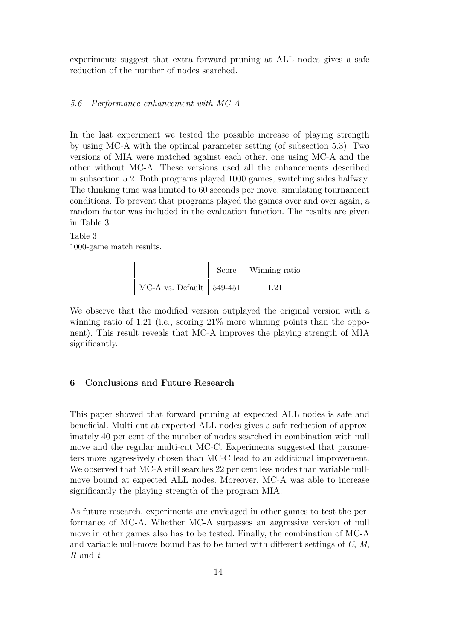experiments suggest that extra forward pruning at ALL nodes gives a safe reduction of the number of nodes searched.

### 5.6 Performance enhancement with MC-A

In the last experiment we tested the possible increase of playing strength by using MC-A with the optimal parameter setting (of subsection 5.3). Two versions of MIA were matched against each other, one using MC-A and the other without MC-A. These versions used all the enhancements described in subsection 5.2. Both programs played 1000 games, switching sides halfway. The thinking time was limited to 60 seconds per move, simulating tournament conditions. To prevent that programs played the games over and over again, a random factor was included in the evaluation function. The results are given in Table 3.

## Table 3 1000-game match results.

|                                  | Score | Winning ratio |
|----------------------------------|-------|---------------|
| MC-A vs. Default $\vert$ 549-451 |       |               |

We observe that the modified version outplayed the original version with a winning ratio of 1.21 (i.e., scoring  $21\%$  more winning points than the opponent). This result reveals that MC-A improves the playing strength of MIA significantly.

### 6 Conclusions and Future Research

This paper showed that forward pruning at expected ALL nodes is safe and beneficial. Multi-cut at expected ALL nodes gives a safe reduction of approximately 40 per cent of the number of nodes searched in combination with null move and the regular multi-cut MC-C. Experiments suggested that parameters more aggressively chosen than MC-C lead to an additional improvement. We observed that MC-A still searches 22 per cent less nodes than variable nullmove bound at expected ALL nodes. Moreover, MC-A was able to increase significantly the playing strength of the program MIA.

As future research, experiments are envisaged in other games to test the performance of MC-A. Whether MC-A surpasses an aggressive version of null move in other games also has to be tested. Finally, the combination of MC-A and variable null-move bound has to be tuned with different settings of  $C, M$ , R and t.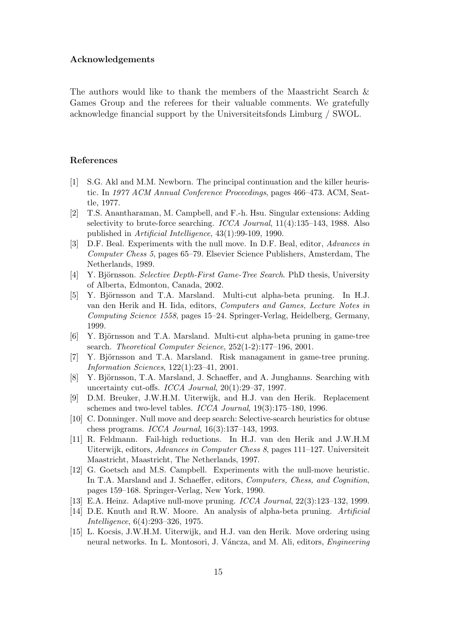### Acknowledgements

The authors would like to thank the members of the Maastricht Search & Games Group and the referees for their valuable comments. We gratefully acknowledge financial support by the Universiteitsfonds Limburg / SWOL.

### References

- [1] S.G. Akl and M.M. Newborn. The principal continuation and the killer heuristic. In 1977 ACM Annual Conference Proceedings, pages 466–473. ACM, Seattle, 1977.
- [2] T.S. Anantharaman, M. Campbell, and F.-h. Hsu. Singular extensions: Adding selectivity to brute-force searching. ICCA Journal, 11(4):135–143, 1988. Also published in Artificial Intelligence, 43(1):99-109, 1990.
- [3] D.F. Beal. Experiments with the null move. In D.F. Beal, editor, Advances in Computer Chess 5, pages 65–79. Elsevier Science Publishers, Amsterdam, The Netherlands, 1989.
- [4] Y. Björnsson. Selective Depth-First Game-Tree Search. PhD thesis, University of Alberta, Edmonton, Canada, 2002.
- [5] Y. Björnsson and T.A. Marsland. Multi-cut alpha-beta pruning. In H.J. van den Herik and H. Iida, editors, Computers and Games, Lecture Notes in Computing Science 1558, pages 15–24. Springer-Verlag, Heidelberg, Germany, 1999.
- [6] Y. Björnsson and T.A. Marsland. Multi-cut alpha-beta pruning in game-tree search. Theoretical Computer Science, 252(1-2):177–196, 2001.
- [7] Y. Björnsson and T.A. Marsland. Risk managament in game-tree pruning. Information Sciences, 122(1):23–41, 2001.
- [8] Y. Björnsson, T.A. Marsland, J. Schaeffer, and A. Junghanns. Searching with uncertainty cut-offs. ICCA Journal, 20(1):29–37, 1997.
- [9] D.M. Breuker, J.W.H.M. Uiterwijk, and H.J. van den Herik. Replacement schemes and two-level tables. ICCA Journal, 19(3):175–180, 1996.
- [10] C. Donninger. Null move and deep search: Selective-search heuristics for obtuse chess programs. ICCA Journal, 16(3):137–143, 1993.
- [11] R. Feldmann. Fail-high reductions. In H.J. van den Herik and J.W.H.M Uiterwijk, editors, Advances in Computer Chess 8, pages 111–127. Universiteit Maastricht, Maastricht, The Netherlands, 1997.
- [12] G. Goetsch and M.S. Campbell. Experiments with the null-move heuristic. In T.A. Marsland and J. Schaeffer, editors, Computers, Chess, and Cognition, pages 159–168. Springer-Verlag, New York, 1990.
- [13] E.A. Heinz. Adaptive null-move pruning. ICCA Journal, 22(3):123–132, 1999.
- [14] D.E. Knuth and R.W. Moore. An analysis of alpha-beta pruning. Artificial Intelligence, 6(4):293–326, 1975.
- [15] L. Kocsis, J.W.H.M. Uiterwijk, and H.J. van den Herik. Move ordering using neural networks. In L. Montosori, J. Váncza, and M. Ali, editors, Engineering